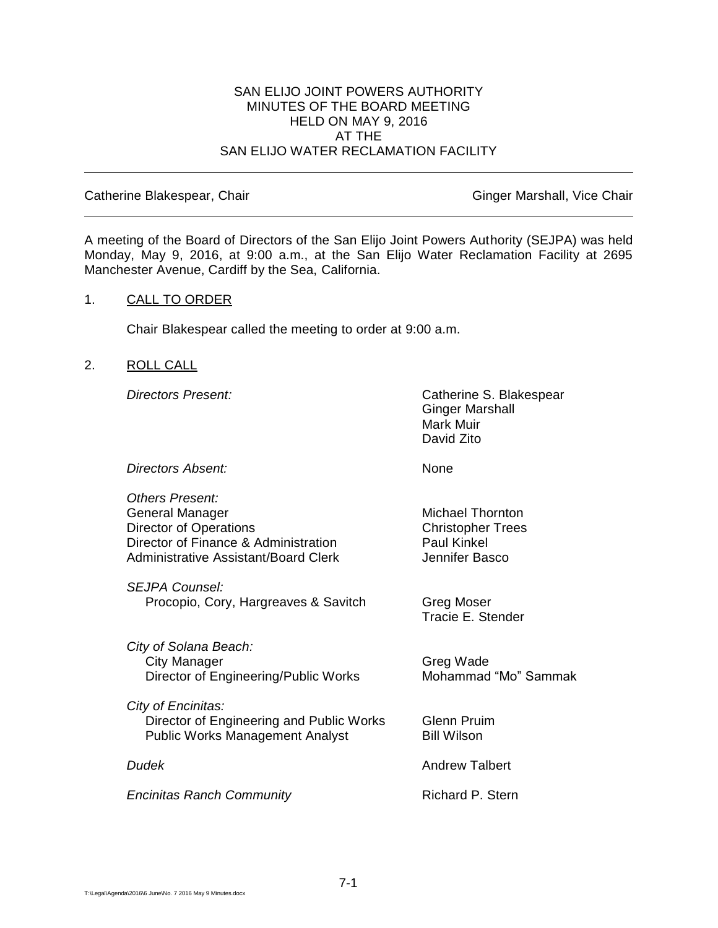### SAN ELIJO JOINT POWERS AUTHORITY MINUTES OF THE BOARD MEETING HELD ON MAY 9, 2016 AT THE SAN ELIJO WATER RECLAMATION FACILITY

#### Catherine Blakespear, Chair Ginger Marshall, Vice Chair Ginger Marshall, Vice Chair

A meeting of the Board of Directors of the San Elijo Joint Powers Authority (SEJPA) was held Monday, May 9, 2016, at 9:00 a.m., at the San Elijo Water Reclamation Facility at 2695 Manchester Avenue, Cardiff by the Sea, California.

### 1. CALL TO ORDER

Chair Blakespear called the meeting to order at 9:00 a.m.

### 2. ROLL CALL

**Directors Present:** Catherine S. Blakespear Ginger Marshall Mark Muir David Zito

*Directors Absent:* None

*Others Present:* General Manager Michael Thornton Director of Operations Christopher Trees Director of Finance & Administration Paul Kinkel Administrative Assistant/Board Clerk The Multiple of Hennifer Basco

*SEJPA Counsel:* Procopio, Cory, Hargreaves & Savitch Greg Moser

*City of Solana Beach:* City Manager Greg Wade Director of Engineering/Public Works Mohammad "Mo" Sammak

*City of Encinitas:* Director of Engineering and Public Works Glenn Pruim Public Works Management Analyst Bill Wilson

**Encinitas Ranch Community Richard P. Stern** 

Tracie E. Stender

*Dudek* Andrew Talbert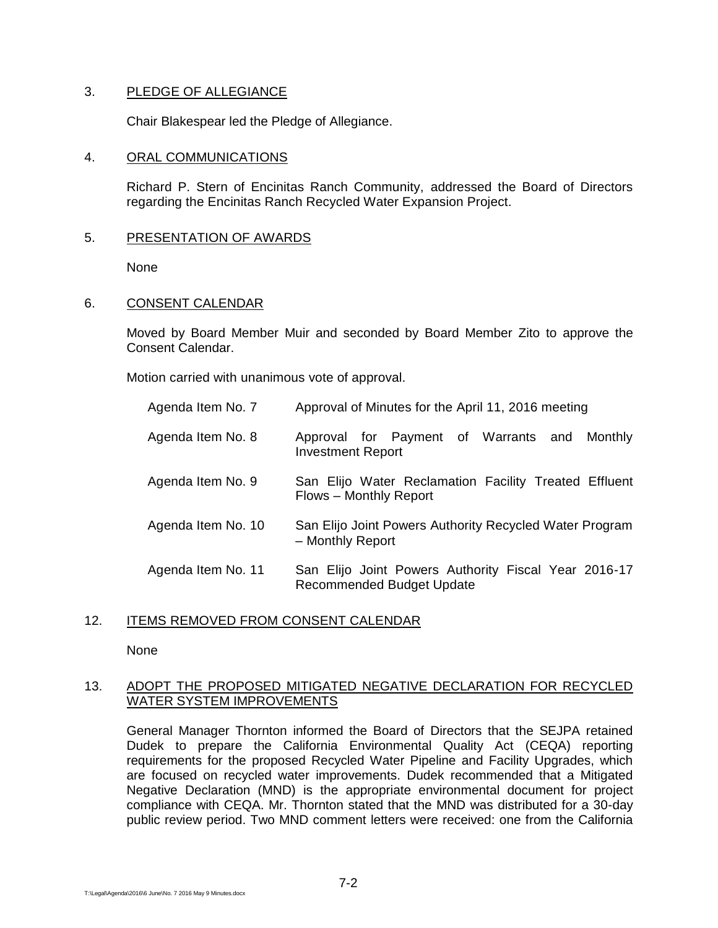# 3. PLEDGE OF ALLEGIANCE

Chair Blakespear led the Pledge of Allegiance.

## 4. ORAL COMMUNICATIONS

Richard P. Stern of Encinitas Ranch Community, addressed the Board of Directors regarding the Encinitas Ranch Recycled Water Expansion Project.

# 5. PRESENTATION OF AWARDS

None

# 6. CONSENT CALENDAR

Moved by Board Member Muir and seconded by Board Member Zito to approve the Consent Calendar.

Motion carried with unanimous vote of approval.

| Agenda Item No. 7  | Approval of Minutes for the April 11, 2016 meeting                                       |
|--------------------|------------------------------------------------------------------------------------------|
| Agenda Item No. 8  | Approval for Payment of Warrants and<br>Monthly<br><b>Investment Report</b>              |
| Agenda Item No. 9  | San Elijo Water Reclamation Facility Treated Effluent<br>Flows - Monthly Report          |
| Agenda Item No. 10 | San Elijo Joint Powers Authority Recycled Water Program<br>- Monthly Report              |
| Agenda Item No. 11 | San Elijo Joint Powers Authority Fiscal Year 2016-17<br><b>Recommended Budget Update</b> |

### 12. ITEMS REMOVED FROM CONSENT CALENDAR

None

# 13. ADOPT THE PROPOSED MITIGATED NEGATIVE DECLARATION FOR RECYCLED WATER SYSTEM IMPROVEMENTS

General Manager Thornton informed the Board of Directors that the SEJPA retained Dudek to prepare the California Environmental Quality Act (CEQA) reporting requirements for the proposed Recycled Water Pipeline and Facility Upgrades, which are focused on recycled water improvements. Dudek recommended that a Mitigated Negative Declaration (MND) is the appropriate environmental document for project compliance with CEQA. Mr. Thornton stated that the MND was distributed for a 30-day public review period. Two MND comment letters were received: one from the California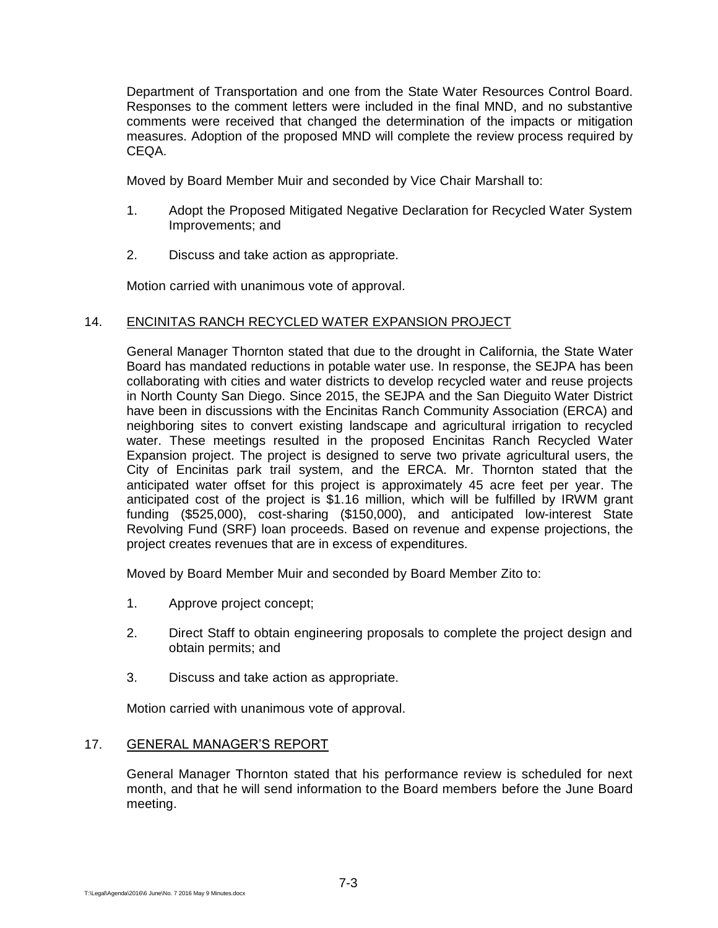Department of Transportation and one from the State Water Resources Control Board. Responses to the comment letters were included in the final MND, and no substantive comments were received that changed the determination of the impacts or mitigation measures. Adoption of the proposed MND will complete the review process required by CEQA.

Moved by Board Member Muir and seconded by Vice Chair Marshall to:

- 1. Adopt the Proposed Mitigated Negative Declaration for Recycled Water System Improvements; and
- 2. Discuss and take action as appropriate.

Motion carried with unanimous vote of approval.

# 14. ENCINITAS RANCH RECYCLED WATER EXPANSION PROJECT

General Manager Thornton stated that due to the drought in California, the State Water Board has mandated reductions in potable water use. In response, the SEJPA has been collaborating with cities and water districts to develop recycled water and reuse projects in North County San Diego. Since 2015, the SEJPA and the San Dieguito Water District have been in discussions with the Encinitas Ranch Community Association (ERCA) and neighboring sites to convert existing landscape and agricultural irrigation to recycled water. These meetings resulted in the proposed Encinitas Ranch Recycled Water Expansion project. The project is designed to serve two private agricultural users, the City of Encinitas park trail system, and the ERCA. Mr. Thornton stated that the anticipated water offset for this project is approximately 45 acre feet per year. The anticipated cost of the project is \$1.16 million, which will be fulfilled by IRWM grant funding (\$525,000), cost-sharing (\$150,000), and anticipated low-interest State Revolving Fund (SRF) loan proceeds. Based on revenue and expense projections, the project creates revenues that are in excess of expenditures.

Moved by Board Member Muir and seconded by Board Member Zito to:

- 1. Approve project concept;
- 2. Direct Staff to obtain engineering proposals to complete the project design and obtain permits; and
- 3. Discuss and take action as appropriate.

Motion carried with unanimous vote of approval.

# 17. GENERAL MANAGER'S REPORT

General Manager Thornton stated that his performance review is scheduled for next month, and that he will send information to the Board members before the June Board meeting.